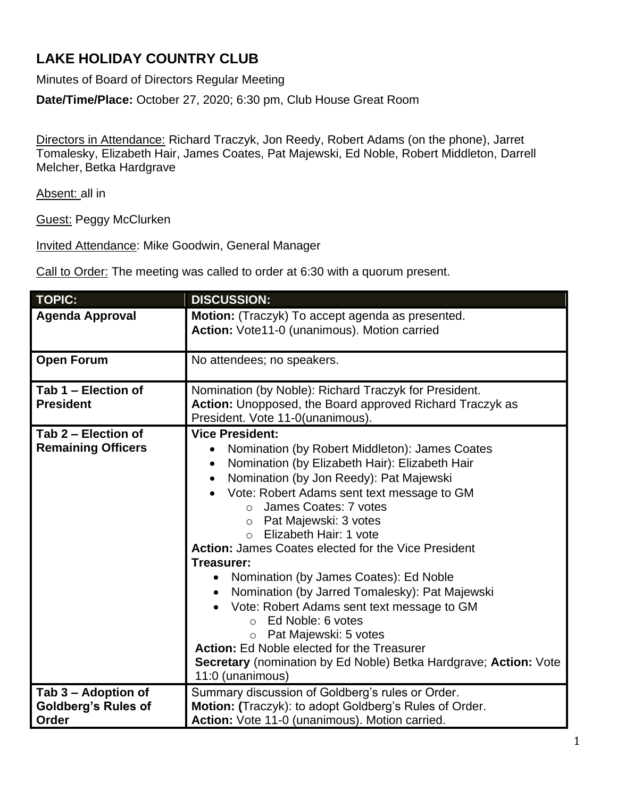## **LAKE HOLIDAY COUNTRY CLUB**

Minutes of Board of Directors Regular Meeting

**Date/Time/Place:** October 27, 2020; 6:30 pm, Club House Great Room

Directors in Attendance: Richard Traczyk, Jon Reedy, Robert Adams (on the phone), Jarret Tomalesky, Elizabeth Hair, James Coates, Pat Majewski, Ed Noble, Robert Middleton, Darrell Melcher, Betka Hardgrave

Absent: all in

Guest: Peggy McClurken

Invited Attendance: Mike Goodwin, General Manager

Call to Order: The meeting was called to order at 6:30 with a quorum present.

| <b>TOPIC:</b>                                              | <b>DISCUSSION:</b>                                                                                                                                                                                                                                                                                                                                                                                                                                                                                                                                                                                                                                                                                                                             |
|------------------------------------------------------------|------------------------------------------------------------------------------------------------------------------------------------------------------------------------------------------------------------------------------------------------------------------------------------------------------------------------------------------------------------------------------------------------------------------------------------------------------------------------------------------------------------------------------------------------------------------------------------------------------------------------------------------------------------------------------------------------------------------------------------------------|
| <b>Agenda Approval</b>                                     | Motion: (Traczyk) To accept agenda as presented.<br>Action: Vote11-0 (unanimous). Motion carried                                                                                                                                                                                                                                                                                                                                                                                                                                                                                                                                                                                                                                               |
| <b>Open Forum</b>                                          | No attendees; no speakers.                                                                                                                                                                                                                                                                                                                                                                                                                                                                                                                                                                                                                                                                                                                     |
| Tab 1 - Election of<br><b>President</b>                    | Nomination (by Noble): Richard Traczyk for President.<br>Action: Unopposed, the Board approved Richard Traczyk as<br>President. Vote 11-0(unanimous).                                                                                                                                                                                                                                                                                                                                                                                                                                                                                                                                                                                          |
| Tab 2 - Election of<br><b>Remaining Officers</b>           | <b>Vice President:</b><br>Nomination (by Robert Middleton): James Coates<br>Nomination (by Elizabeth Hair): Elizabeth Hair<br>Nomination (by Jon Reedy): Pat Majewski<br>Vote: Robert Adams sent text message to GM<br>o James Coates: 7 votes<br>Pat Majewski: 3 votes<br>$\circ$<br>Elizabeth Hair: 1 vote<br>Action: James Coates elected for the Vice President<br>Treasurer:<br>Nomination (by James Coates): Ed Noble<br>Nomination (by Jarred Tomalesky): Pat Majewski<br>Vote: Robert Adams sent text message to GM<br>Ed Noble: 6 votes<br>$\bigcap$<br>Pat Majewski: 5 votes<br>$\circ$<br><b>Action:</b> Ed Noble elected for the Treasurer<br>Secretary (nomination by Ed Noble) Betka Hardgrave; Action: Vote<br>11:0 (unanimous) |
| Tab 3 - Adoption of<br><b>Goldberg's Rules of</b><br>Order | Summary discussion of Goldberg's rules or Order.<br>Motion: (Traczyk): to adopt Goldberg's Rules of Order.<br>Action: Vote 11-0 (unanimous). Motion carried.                                                                                                                                                                                                                                                                                                                                                                                                                                                                                                                                                                                   |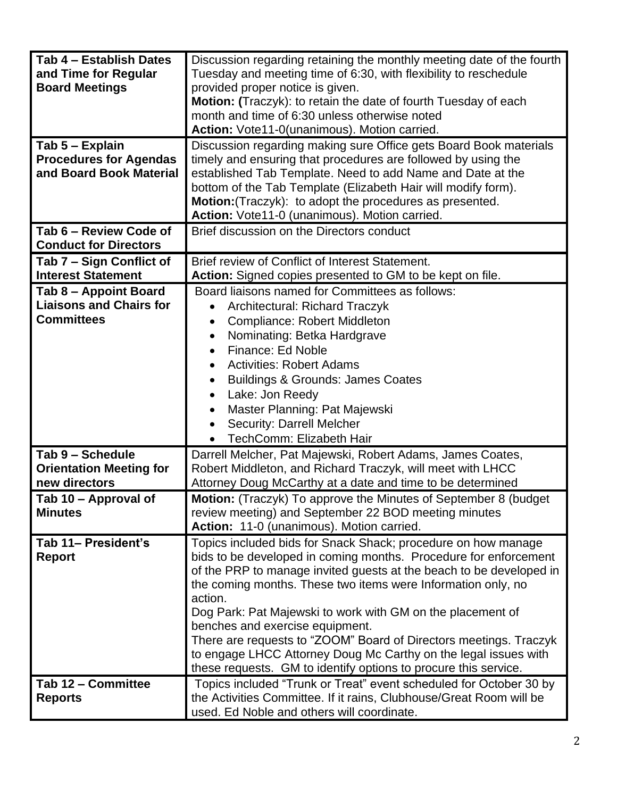| Tab 4 - Establish Dates<br>and Time for Regular<br><b>Board Meetings</b><br>Tab 5 - Explain<br><b>Procedures for Agendas</b><br>and Board Book Material | Discussion regarding retaining the monthly meeting date of the fourth<br>Tuesday and meeting time of 6:30, with flexibility to reschedule<br>provided proper notice is given.<br>Motion: (Traczyk): to retain the date of fourth Tuesday of each<br>month and time of 6:30 unless otherwise noted<br>Action: Vote11-0(unanimous). Motion carried.<br>Discussion regarding making sure Office gets Board Book materials<br>timely and ensuring that procedures are followed by using the<br>established Tab Template. Need to add Name and Date at the<br>bottom of the Tab Template (Elizabeth Hair will modify form).<br>Motion: (Traczyk): to adopt the procedures as presented.<br>Action: Vote11-0 (unanimous). Motion carried. |
|---------------------------------------------------------------------------------------------------------------------------------------------------------|-------------------------------------------------------------------------------------------------------------------------------------------------------------------------------------------------------------------------------------------------------------------------------------------------------------------------------------------------------------------------------------------------------------------------------------------------------------------------------------------------------------------------------------------------------------------------------------------------------------------------------------------------------------------------------------------------------------------------------------|
| Tab 6 - Review Code of<br><b>Conduct for Directors</b>                                                                                                  | Brief discussion on the Directors conduct                                                                                                                                                                                                                                                                                                                                                                                                                                                                                                                                                                                                                                                                                           |
| Tab 7 – Sign Conflict of<br><b>Interest Statement</b>                                                                                                   | Brief review of Conflict of Interest Statement.<br>Action: Signed copies presented to GM to be kept on file.                                                                                                                                                                                                                                                                                                                                                                                                                                                                                                                                                                                                                        |
| Tab 8 - Appoint Board<br><b>Liaisons and Chairs for</b><br><b>Committees</b>                                                                            | Board liaisons named for Committees as follows:<br><b>Architectural: Richard Traczyk</b><br><b>Compliance: Robert Middleton</b><br>Nominating: Betka Hardgrave<br>٠<br>Finance: Ed Noble<br><b>Activities: Robert Adams</b><br><b>Buildings &amp; Grounds: James Coates</b><br>Lake: Jon Reedy<br>Master Planning: Pat Majewski<br><b>Security: Darrell Melcher</b><br><b>TechComm: Elizabeth Hair</b>                                                                                                                                                                                                                                                                                                                              |
| Tab 9 - Schedule<br><b>Orientation Meeting for</b><br>new directors                                                                                     | Darrell Melcher, Pat Majewski, Robert Adams, James Coates,<br>Robert Middleton, and Richard Traczyk, will meet with LHCC<br>Attorney Doug McCarthy at a date and time to be determined                                                                                                                                                                                                                                                                                                                                                                                                                                                                                                                                              |
| Tab 10 - Approval of<br><b>Minutes</b>                                                                                                                  | Motion: (Traczyk) To approve the Minutes of September 8 (budget<br>review meeting) and September 22 BOD meeting minutes<br>Action: 11-0 (unanimous). Motion carried.                                                                                                                                                                                                                                                                                                                                                                                                                                                                                                                                                                |
| Tab 11- President's<br><b>Report</b>                                                                                                                    | Topics included bids for Snack Shack; procedure on how manage<br>bids to be developed in coming months. Procedure for enforcement<br>of the PRP to manage invited guests at the beach to be developed in<br>the coming months. These two items were Information only, no<br>action.<br>Dog Park: Pat Majewski to work with GM on the placement of<br>benches and exercise equipment.<br>There are requests to "ZOOM" Board of Directors meetings. Traczyk<br>to engage LHCC Attorney Doug Mc Carthy on the legal issues with<br>these requests. GM to identify options to procure this service.                                                                                                                                     |
| Tab 12 - Committee<br><b>Reports</b>                                                                                                                    | Topics included "Trunk or Treat" event scheduled for October 30 by<br>the Activities Committee. If it rains, Clubhouse/Great Room will be<br>used. Ed Noble and others will coordinate.                                                                                                                                                                                                                                                                                                                                                                                                                                                                                                                                             |